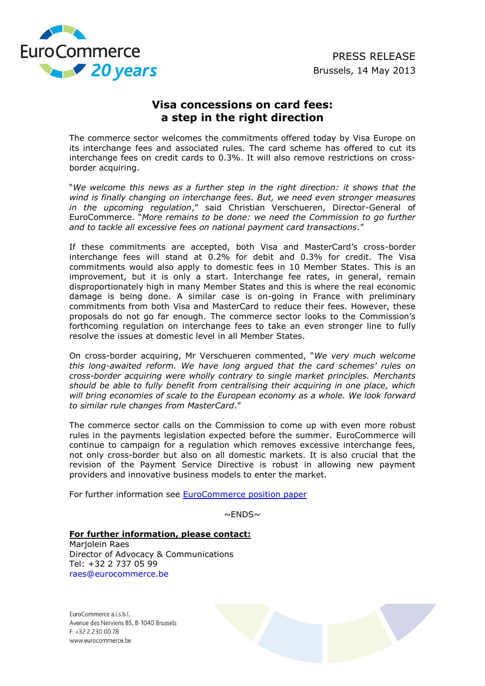

## **Visa concessions on card fees: a step in the right direction**

The commerce sector welcomes the commitments offered today by Visa Europe on its interchange fees and associated rules. The card scheme has offered to cut its interchange fees on credit cards to 0.3%. It will also remove restrictions on crossborder acquiring.

"*We welcome this news as a further step in the right direction: it shows that the wind is finally changing on interchange fees. But, we need even stronger measures in the upcoming regulation*," said Christian Verschueren, Director-General of EuroCommerce. "*More remains to be done: we need the Commission to go further and to tackle all excessive fees on national payment card transactions*."

If these commitments are accepted, both Visa and MasterCard's cross-border interchange fees will stand at 0.2% for debit and 0.3% for credit. The Visa commitments would also apply to domestic fees in 10 Member States. This is an improvement, but it is only a start. Interchange fee rates, in general, remain disproportionately high in many Member States and this is where the real economic damage is being done. A similar case is on-going in France with preliminary commitments from both Visa and MasterCard to reduce their fees. However, these proposals do not go far enough. The commerce sector looks to the Commission's forthcoming regulation on interchange fees to take an even stronger line to fully resolve the issues at domestic level in all Member States.

On cross-border acquiring, Mr Verschueren commented, "*We very much welcome this long-awaited reform. We have long argued that the card schemes' rules on cross-border acquiring were wholly contrary to single market principles. Merchants should be able to fully benefit from centralising their acquiring in one place, which will bring economies of scale to the European economy as a whole. We look forward to similar rule changes from MasterCard*."

The commerce sector calls on the Commission to come up with even more robust rules in the payments legislation expected before the summer. EuroCommerce will continue to campaign for a regulation which removes excessive interchange fees, not only cross-border but also on all domestic markets. It is also crucial that the revision of the Payment Service Directive is robust in allowing new payment providers and innovative business models to enter the market.

For further information see **EuroCommerce position paper** 

 $\sim$ ENDS $\sim$ 

## **For further information, please contact:**

Marjolein Raes Director of Advocacy & Communications Tel: +32 2 737 05 99 [raes@eurocommerce.be](mailto:raes@eurocommerce.be)

 $FuncCommerce a is bl$ Avenue des Nerviens 85, B-1040 Brussels F: +32 2 2 30 00 78 www.eurocommerce.be